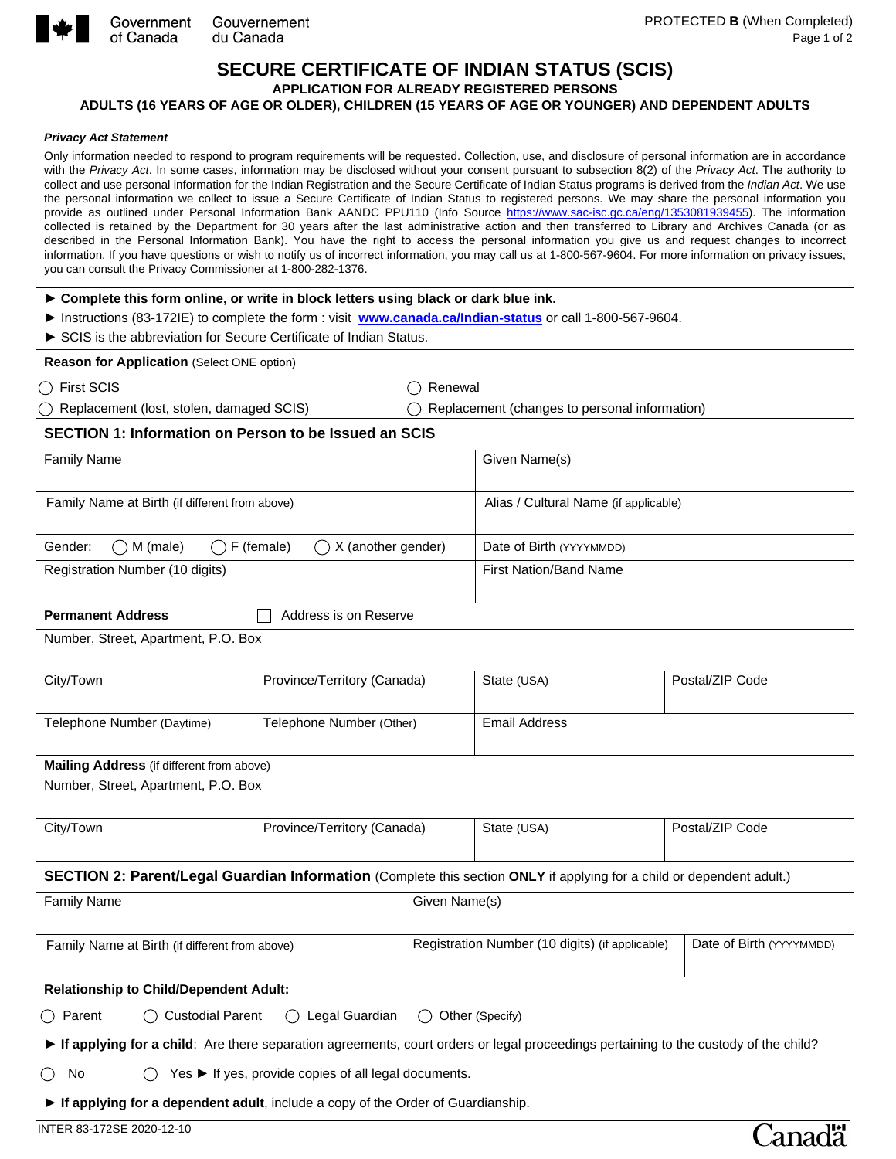

Government Gouvernement du Canada

# **SECURE CERTIFICATE OF INDIAN STATUS (SCIS)**

**APPLICATION FOR ALREADY REGISTERED PERSONS** 

## **ADULTS (16 YEARS OF AGE OR OLDER), CHILDREN (15 YEARS OF AGE OR YOUNGER) AND DEPENDENT ADULTS**

#### *Privacy Act Statement*

Only information needed to respond to program requirements will be requested. Collection, use, and disclosure of personal information are in accordance with the *Privacy Act*. In some cases, information may be disclosed without your consent pursuant to subsection 8(2) of the *Privacy Act*. The authority to collect and use personal information for the Indian Registration and the Secure Certificate of Indian Status programs is derived from the *Indian Act*. We use the personal information we collect to issue a Secure Certificate of Indian Status to registered persons. We may share the personal information you provide as outlined under Personal Information Bank AANDC PPU110 (Info Source [https://www.sac-isc.gc.ca/eng/1353081939455\)](https://www.sac-isc.gc.ca/eng/1353081939455). The information collected is retained by the Department for 30 years after the last administrative action and then transferred to Library and Archives Canada (or as described in the Personal Information Bank). You have the right to access the personal information you give us and request changes to incorrect information. If you have questions or wish to notify us of incorrect information, you may call us at 1-800-567-9604. For more information on privacy issues, you can consult the Privacy Commissioner at 1-800-282-1376.

| ► Complete this form online, or write in block letters using black or dark blue ink.                                                                                            |                                                                                  |                                                 |                                               |                          |  |  |
|---------------------------------------------------------------------------------------------------------------------------------------------------------------------------------|----------------------------------------------------------------------------------|-------------------------------------------------|-----------------------------------------------|--------------------------|--|--|
| > Instructions (83-172IE) to complete the form : visit www.canada.ca/Indian-status or call 1-800-567-9604.<br>SCIS is the abbreviation for Secure Certificate of Indian Status. |                                                                                  |                                                 |                                               |                          |  |  |
| Reason for Application (Select ONE option)                                                                                                                                      |                                                                                  |                                                 |                                               |                          |  |  |
| $\bigcirc$ First SCIS                                                                                                                                                           |                                                                                  | Renewal                                         |                                               |                          |  |  |
| Replacement (lost, stolen, damaged SCIS)                                                                                                                                        |                                                                                  |                                                 | Replacement (changes to personal information) |                          |  |  |
| <b>SECTION 1: Information on Person to be Issued an SCIS</b>                                                                                                                    |                                                                                  |                                                 |                                               |                          |  |  |
| <b>Family Name</b>                                                                                                                                                              |                                                                                  | Given Name(s)                                   |                                               |                          |  |  |
| Family Name at Birth (if different from above)                                                                                                                                  |                                                                                  | Alias / Cultural Name (if applicable)           |                                               |                          |  |  |
| $\bigcirc$ M (male)<br>$\bigcap$ F (female)<br>Gender:                                                                                                                          | $\bigcap$ X (another gender)                                                     |                                                 | Date of Birth (YYYYMMDD)                      |                          |  |  |
| Registration Number (10 digits)                                                                                                                                                 |                                                                                  | <b>First Nation/Band Name</b>                   |                                               |                          |  |  |
| <b>Permanent Address</b>                                                                                                                                                        | Address is on Reserve                                                            |                                                 |                                               |                          |  |  |
| Number, Street, Apartment, P.O. Box                                                                                                                                             |                                                                                  |                                                 |                                               |                          |  |  |
| City/Town                                                                                                                                                                       | Province/Territory (Canada)<br>$\vert \textcolor{red}{\blacktriangledown} \vert$ |                                                 | State (USA)<br>$\vert \blacktriangledown$     | Postal/ZIP Code          |  |  |
| Telephone Number (Daytime)                                                                                                                                                      | Telephone Number (Other)                                                         |                                                 | <b>Email Address</b>                          |                          |  |  |
| Mailing Address (if different from above)                                                                                                                                       |                                                                                  |                                                 |                                               |                          |  |  |
| Number, Street, Apartment, P.O. Box                                                                                                                                             |                                                                                  |                                                 |                                               |                          |  |  |
| City/Town                                                                                                                                                                       | Province/Territory (Canada)                                                      | $\overline{\phantom{a}}$                        | State (USA)<br>$\overline{\phantom{a}}$       | Postal/ZIP Code          |  |  |
| SECTION 2: Parent/Legal Guardian Information (Complete this section ONLY if applying for a child or dependent adult.)                                                           |                                                                                  |                                                 |                                               |                          |  |  |
| <b>Family Name</b>                                                                                                                                                              |                                                                                  | Given Name(s)                                   |                                               |                          |  |  |
| Family Name at Birth (if different from above)                                                                                                                                  |                                                                                  | Registration Number (10 digits) (if applicable) |                                               | Date of Birth (YYYYMMDD) |  |  |
| <b>Relationship to Child/Dependent Adult:</b>                                                                                                                                   |                                                                                  |                                                 |                                               |                          |  |  |
| <b>Custodial Parent</b><br>Legal Guardian<br>$\bigcirc$ Parent<br>◯ Other (Specify)<br>$($ )                                                                                    |                                                                                  |                                                 |                                               |                          |  |  |
| If applying for a child: Are there separation agreements, court orders or legal proceedings pertaining to the custody of the child?                                             |                                                                                  |                                                 |                                               |                          |  |  |
| Yes ▶ If yes, provide copies of all legal documents.<br>No                                                                                                                      |                                                                                  |                                                 |                                               |                          |  |  |

**► If applying for a dependent adult**, include a copy of the Order of Guardianship.